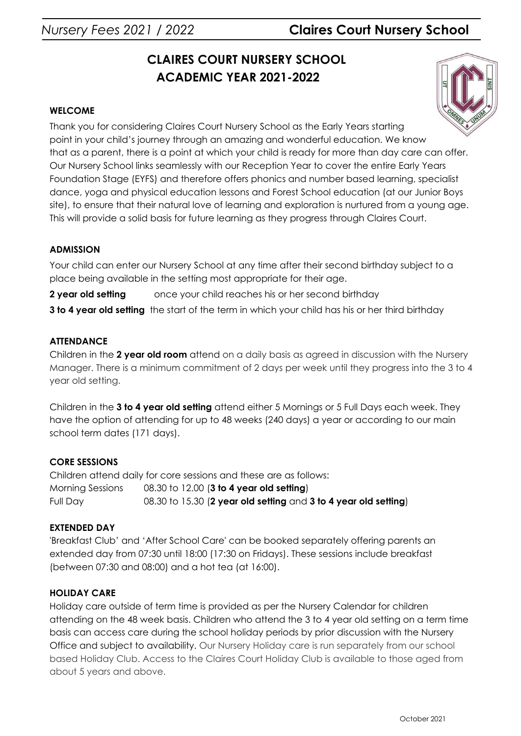# *Nursery Fees 2021 / 2022* **Claires Court Nursery School**

# **CLAIRES COURT NURSERY SCHOOL ACADEMIC YEAR 2021-2022**

# **WELCOME**

Thank you for considering Claires Court Nursery School as the Early Years starting point in your child's journey through an amazing and wonderful education. We know that as a parent, there is a point at which your child is ready for more than day care can offer. Our Nursery School links seamlessly with our Reception Year to cover the entire Early Years Foundation Stage (EYFS) and therefore offers phonics and number based learning, specialist dance, yoga and physical education lessons and Forest School education (at our Junior Boys site), to ensure that their natural love of learning and exploration is nurtured from a young age. This will provide a solid basis for future learning as they progress through Claires Court.

# **ADMISSION**

Your child can enter our Nursery School at any time after their second birthday subject to a place being available in the setting most appropriate for their age.

**2 year old setting** once your child reaches his or her second birthday

**3 to 4 year old setting** the start of the term in which your child has his or her third birthday

# **ATTENDANCE**

Children in the **2 year old room** attend on a daily basis as agreed in discussion with the Nursery Manager. There is a minimum commitment of 2 days per week until they progress into the 3 to 4 year old setting.

Children in the **3 to 4 year old setting** attend either 5 Mornings or 5 Full Days each week. They have the option of attending for up to 48 weeks (240 days) a year or according to our main school term dates (171 days).

# **CORE SESSIONS**

Children attend daily for core sessions and these are as follows: Morning Sessions 08.30 to 12.00 (**3 to 4 year old setting**) Full Day 08.30 to 15.30 (**2 year old setting** and **3 to 4 year old setting**)

# **EXTENDED DAY**

'Breakfast Club' and 'After School Care' can be booked separately offering parents an extended day from 07:30 until 18:00 (17:30 on Fridays). These sessions include breakfast (between 07:30 and 08:00) and a hot tea (at 16:00).

# **HOLIDAY CARE**

Holiday care outside of term time is provided as per the Nursery Calendar for children attending on the 48 week basis. Children who attend the 3 to 4 year old setting on a term time basis can access care during the school holiday periods by prior discussion with the Nursery Office and subject to availability. Our Nursery Holiday care is run separately from our school based Holiday Club. Access to the Claires Court Holiday Club is available to those aged from about 5 years and above.

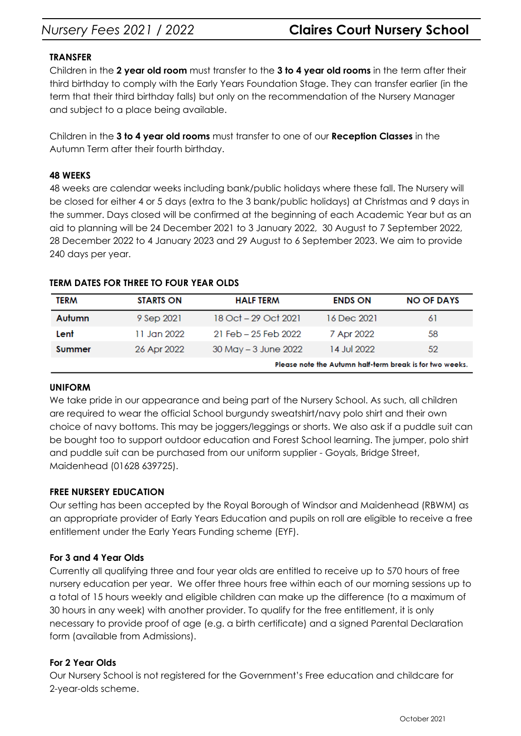# *Nursery Fees 2021 / 2022* **Claires Court Nursery School**

### **TRANSFER**

Children in the **2 year old room** must transfer to the **3 to 4 year old rooms** in the term after their third birthday to comply with the Early Years Foundation Stage. They can transfer earlier (in the term that their third birthday falls) but only on the recommendation of the Nursery Manager and subject to a place being available.

Children in the **3 to 4 year old rooms** must transfer to one of our **Reception Classes** in the Autumn Term after their fourth birthday.

### **48 WEEKS**

48 weeks are calendar weeks including bank/public holidays where these fall. The Nursery will be closed for either 4 or 5 days (extra to the 3 bank/public holidays) at Christmas and 9 days in the summer. Days closed will be confirmed at the beginning of each Academic Year but as an aid to planning will be 24 December 2021 to 3 January 2022, 30 August to 7 September 2022, 28 December 2022 to 4 January 2023 and 29 August to 6 September 2023. We aim to provide 240 days per year.

| <b>TERM</b> | <b>STARTS ON</b> | <b>HALF TERM</b>     | <b>ENDS ON</b> | <b>NO OF DAYS</b>                                        |
|-------------|------------------|----------------------|----------------|----------------------------------------------------------|
| Autumn      | 9 Sep 2021       | 18 Oct – 29 Oct 2021 | 16 Dec 2021    | -61                                                      |
| Lent        | 11 Jan 2022      | 21 Feb – 25 Feb 2022 | 7 Apr 2022     | 58                                                       |
| Summer      | 26 Apr 2022      | 30 May - 3 June 2022 | 14 Jul 2022    | 52                                                       |
|             |                  |                      |                | Please note the Autumn half-term break is for two weeks. |

### **TERM DATES FOR THREE TO FOUR YEAR OLDS**

#### **UNIFORM**

We take pride in our appearance and being part of the Nursery School. As such, all children are required to wear the official School burgundy sweatshirt/navy polo shirt and their own choice of navy bottoms. This may be joggers/leggings or shorts. We also ask if a puddle suit can be bought too to support outdoor education and Forest School learning. The jumper, polo shirt and puddle suit can be purchased from our uniform supplier - Goyals, Bridge Street, Maidenhead (01628 639725).

#### **FREE NURSERY EDUCATION**

Our setting has been accepted by the Royal Borough of Windsor and Maidenhead (RBWM) as an appropriate provider of Early Years Education and pupils on roll are eligible to receive a free entitlement under the Early Years Funding scheme (EYF).

# **For 3 and 4 Year Olds**

Currently all qualifying three and four year olds are entitled to receive up to 570 hours of free nursery education per year. We offer three hours free within each of our morning sessions up to a total of 15 hours weekly and eligible children can make up the difference (to a maximum of 30 hours in any week) with another provider. To qualify for the free entitlement, it is only necessary to provide proof of age (e.g. a birth certificate) and a signed Parental Declaration form (available from Admissions).

# **For 2 Year Olds**

Our Nursery School is not registered for the Government's Free education and childcare for 2-year-olds scheme.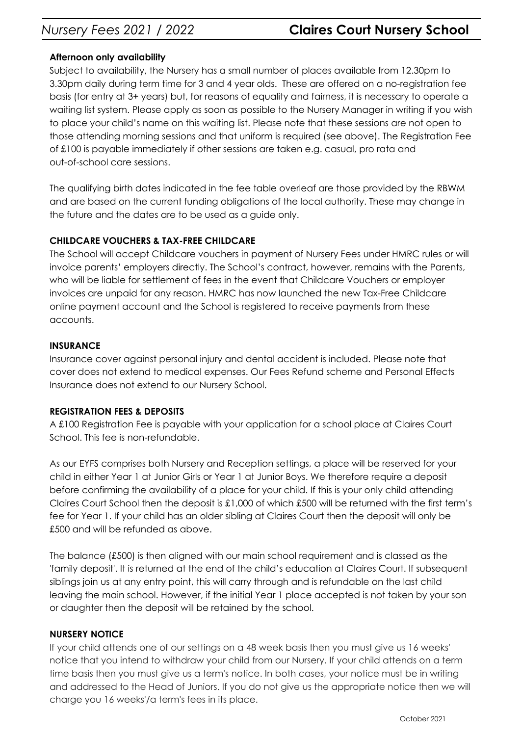# **Afternoon only availability**

Subject to availability, the Nursery has a small number of places available from 12.30pm to 3.30pm daily during term time for 3 and 4 year olds. These are offered on a no-registration fee basis (for entry at 3+ years) but, for reasons of equality and fairness, it is necessary to operate a waiting list system. Please apply as soon as possible to the Nursery Manager in writing if you wish to place your child's name on this waiting list. Please note that these sessions are not open to those attending morning sessions and that uniform is required (see above). The Registration Fee of £100 is payable immediately if other sessions are taken e.g. casual, pro rata and out-of-school care sessions.

The qualifying birth dates indicated in the fee table overleaf are those provided by the RBWM and are based on the current funding obligations of the local authority. These may change in the future and the dates are to be used as a guide only.

# **CHILDCARE VOUCHERS & TAX-FREE CHILDCARE**

The School will accept Childcare vouchers in payment of Nursery Fees under HMRC rules or will invoice parents' employers directly. The School's contract, however, remains with the Parents, who will be liable for settlement of fees in the event that Childcare Vouchers or employer invoices are unpaid for any reason. HMRC has now launched the new Tax-Free Childcare online payment account and the School is registered to receive payments from these accounts.

# **INSURANCE**

Insurance cover against personal injury and dental accident is included. Please note that cover does not extend to medical expenses. Our Fees Refund scheme and Personal Effects Insurance does not extend to our Nursery School.

# **REGISTRATION FEES & DEPOSITS**

A £100 Registration Fee is payable with your application for a school place at Claires Court School. This fee is non-refundable.

As our EYFS comprises both Nursery and Reception settings, a place will be reserved for your child in either Year 1 at Junior Girls or Year 1 at Junior Boys. We therefore require a deposit before confirming the availability of a place for your child. If this is your only child attending Claires Court School then the deposit is £1,000 of which £500 will be returned with the first term's fee for Year 1. If your child has an older sibling at Claires Court then the deposit will only be £500 and will be refunded as above.

The balance (£500) is then aligned with our main school requirement and is classed as the 'family deposit'. It is returned at the end of the child's education at Claires Court. If subsequent siblings join us at any entry point, this will carry through and is refundable on the last child leaving the main school. However, if the initial Year 1 place accepted is not taken by your son or daughter then the deposit will be retained by the school.

# **NURSERY NOTICE**

If your child attends one of our settings on a 48 week basis then you must give us 16 weeks' notice that you intend to withdraw your child from our Nursery. If your child attends on a term time basis then you must give us a term's notice. In both cases, your notice must be in writing and addressed to the Head of Juniors. If you do not give us the appropriate notice then we will charge you 16 weeks'/a term's fees in its place.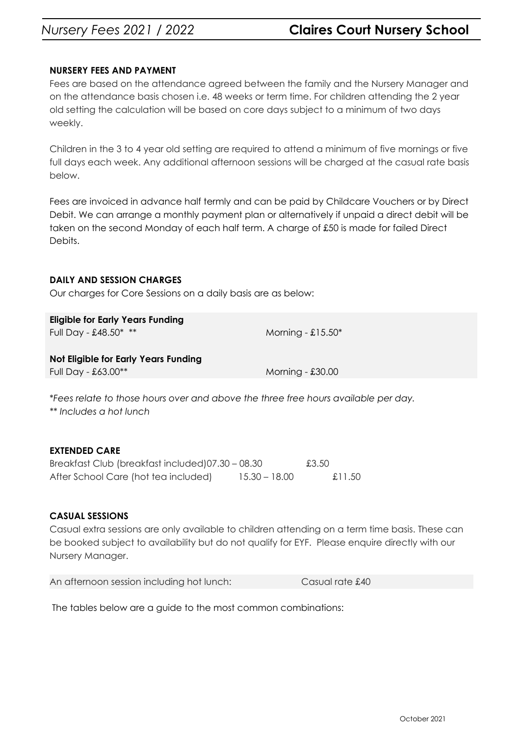# *Nursery Fees 2021 / 2022* **Claires Court Nursery School**

### **NURSERY FEES AND PAYMENT**

Fees are based on the attendance agreed between the family and the Nursery Manager and on the attendance basis chosen i.e. 48 weeks or term time. For children attending the 2 year old setting the calculation will be based on core days subject to a minimum of two days weekly.

Children in the 3 to 4 year old setting are required to attend a minimum of five mornings or five full days each week. Any additional afternoon sessions will be charged at the casual rate basis below.

Fees are invoiced in advance half termly and can be paid by Childcare Vouchers or by [Direct](http://www.clairescourt.com/_site/data/files/documents/admissions/fees/Direct_Debit_Form2016.pdf) [Debit](http://www.clairescourt.com/_site/data/files/documents/admissions/fees/Direct_Debit_Form2016.pdf). We can arrange a monthly payment plan or alternatively if unpaid a direct debit will be taken on the second Monday of each half term. A charge of £50 is made for failed Direct Debits.

#### **DAILY AND SESSION CHARGES**

Our charges for Core Sessions on a daily basis are as below:

| <b>Eligible for Early Years Funding</b><br>Full Day - £48.50* ** | Morning - $£15.50*$ |
|------------------------------------------------------------------|---------------------|
| Not Eligible for Early Years Funding<br>Full Day - $£63.00**$    | Morning - $£30.00$  |

\**Fees relate to those hours over and above the three free hours available per day. \*\* Includes a hot lunch*

#### **EXTENDED CARE**

| Breakfast Club (breakfast included)07.30 - 08.30 |                 | £3.50  |
|--------------------------------------------------|-----------------|--------|
| After School Care (hot tea included)             | $15.30 - 18.00$ | £11.50 |

#### **CASUAL SESSIONS**

Casual extra sessions are only available to children attending on a term time basis. These can be booked subject to availability but do not qualify for EYF. Please enquire directly with our Nursery Manager.

| An afternoon session including hot lunch: | Casual rate £40 |
|-------------------------------------------|-----------------|
|-------------------------------------------|-----------------|

The tables below are a guide to the most common combinations: